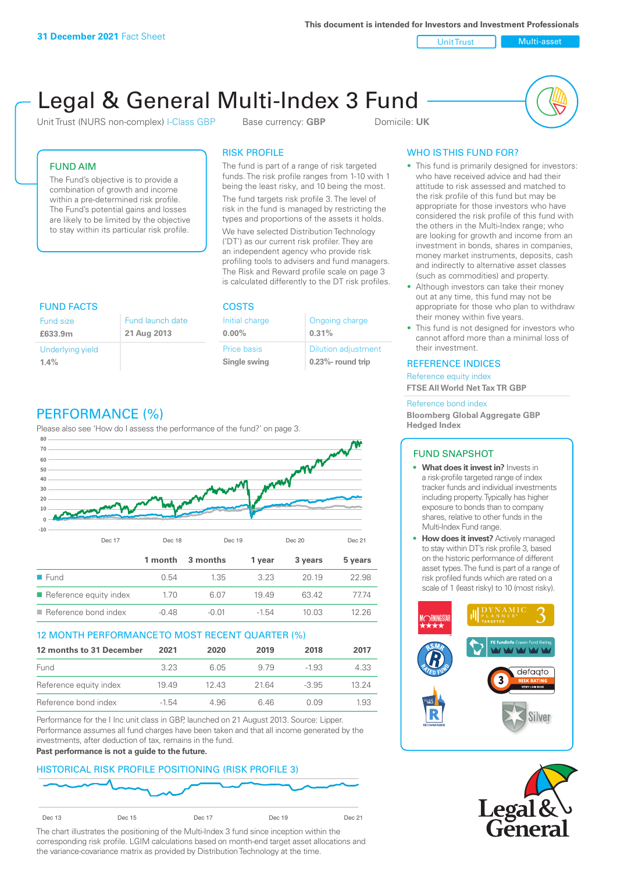**This document is intended for Investors and Investment Professionals**

Unit Trust Nulti-asset

# Legal & General Multi-Index 3 Fund

Unit Trust (NURS non-complex) I-Class GBP Base currency: **GBP** Domicile: UK



## FUND AIM

The Fund's objective is to provide a combination of growth and income within a pre-determined risk profile. The Fund's potential gains and losses are likely to be limited by the objective to stay within its particular risk profile.

## RISK PROFILE

The fund is part of a range of risk targeted funds. The risk profile ranges from 1-10 with 1 being the least risky, and 10 being the most.

The fund targets risk profile 3. The level of risk in the fund is managed by restricting the types and proportions of the assets it holds. We have selected Distribution Technology ('DT') as our current risk profiler. They are an independent agency who provide risk profiling tools to advisers and fund managers. The Risk and Reward profile scale on page 3 is calculated differently to the DT risk profiles.

| <b>FUND FACTS</b> |                  | <b>COSTS</b>   |                            |  |
|-------------------|------------------|----------------|----------------------------|--|
| Fund size         | Fund launch date | Initial charge | Ongoing charge             |  |
| £633.9m           | 21 Aug 2013      | $0.00\%$       | 0.31%                      |  |
| Underlying yield  |                  | Price basis    | <b>Dilution adjustment</b> |  |
| 1.4%              |                  | Single swing   | $0.23\%$ - round trip      |  |

# PERFORMANCE (%)

Please also see 'How do I assess the performance of the fund?' on page 3.



### 12 MONTH PERFORMANCE TO MOST RECENT QUARTER (%)

| 12 months to 31 December | 2021    | 2020 | 2019  | 2018    | 2017  |
|--------------------------|---------|------|-------|---------|-------|
| Fund                     | 323     | 6.05 | 979   | -1.93   | 4.33  |
| Reference equity index   | 1949    | 1243 | 21.64 | $-3.95$ | 13 24 |
| Reference bond index     | $-1.54$ | 4.96 | 646   | O O9    | 1.93  |

Performance for the I Inc unit class in GBP, launched on 21 August 2013. Source: Lipper. Performance assumes all fund charges have been taken and that all income generated by the investments, after deduction of tax, remains in the fund.

#### **Past performance is not a guide to the future.**

### HISTORICAL RISK PROFILE POSITIONING (RISK PROFILE 3)



The chart illustrates the positioning of the Multi-Index 3 fund since inception within the corresponding risk profile. LGIM calculations based on month-end target asset allocations and the variance-covariance matrix as provided by Distribution Technology at the time.

# WHO IS THIS FUND FOR?

- This fund is primarily designed for investors: who have received advice and had their attitude to risk assessed and matched to the risk profile of this fund but may be appropriate for those investors who have considered the risk profile of this fund with the others in the Multi-Index range; who are looking for growth and income from an investment in bonds, shares in companies, money market instruments, deposits, cash and indirectly to alternative asset classes (such as commodities) and property.
- Although investors can take their money out at any time, this fund may not be appropriate for those who plan to withdraw their money within five years.
- This fund is not designed for investors who cannot afford more than a minimal loss of their investment.

### REFERENCE INDICES

Reference equity index **FTSE All World Net Tax TR GBP**

#### Reference bond index

**Bloomberg Global Aggregate GBP Hedged Index**

### FUND SNAPSHOT

- **• What does it invest in?** Invests in a risk-profile targeted range of index tracker funds and individual investments including property. Typically has higher exposure to bonds than to company shares, relative to other funds in the Multi-Index Fund range.
- **• How does it invest?** Actively managed to stay within DT's risk profile 3, based on the historic performance of different asset types. The fund is part of a range of risk profiled funds which are rated on a scale of 1 (least risky) to 10 (most risky).



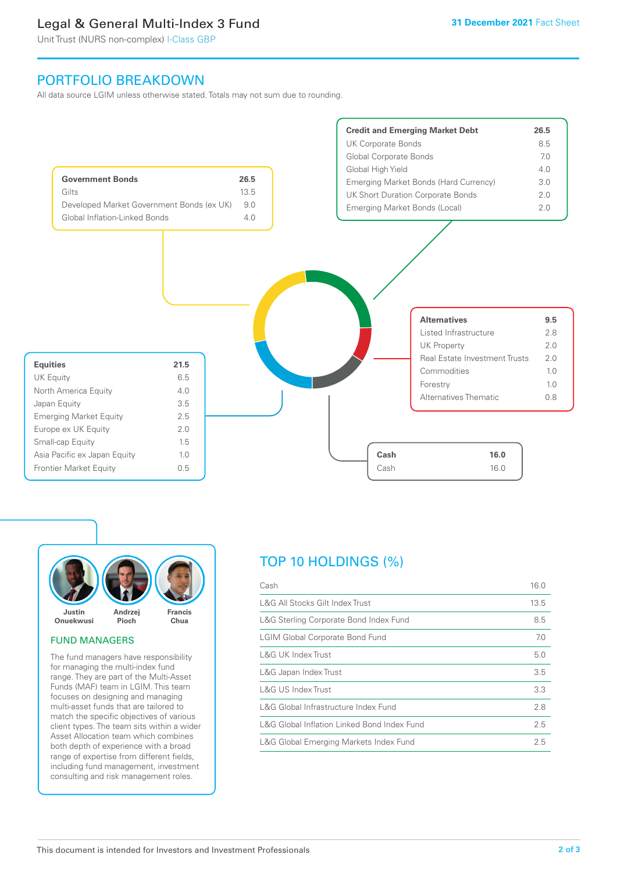# Legal & General Multi-Index 3 Fund

Unit Trust (NURS non-complex) I-Class GBP

# PORTFOLIO BREAKDOWN

All data source LGIM unless otherwise stated. Totals may not sum due to rounding.





### FUND MANAGERS

The fund managers have responsibility for managing the multi-index fund range. They are part of the Multi-Asset Funds (MAF) team in LGIM. This team focuses on designing and managing multi-asset funds that are tailored to match the specific objectives of various client types. The team sits within a wider Asset Allocation team which combines both depth of experience with a broad range of expertise from different fields, including fund management, investment consulting and risk management roles.

# TOP 10 HOLDINGS (%)

| Cash                                        | 16.0 |
|---------------------------------------------|------|
| L&G All Stocks Gilt Index Trust             | 13.5 |
| L&G Sterling Corporate Bond Index Fund      | 8.5  |
| <b>LGIM Global Corporate Bond Fund</b>      | 7.0  |
| L&G UK Index Trust                          | 5.0  |
| L&G Japan Index Trust                       | 3.5  |
| L&G US Index Trust                          | 3.3  |
| L&G Global Infrastructure Index Fund        | 2.8  |
| L&G Global Inflation Linked Bond Index Fund | 2.5  |
| L&G Global Emerging Markets Index Fund      | 2.5  |